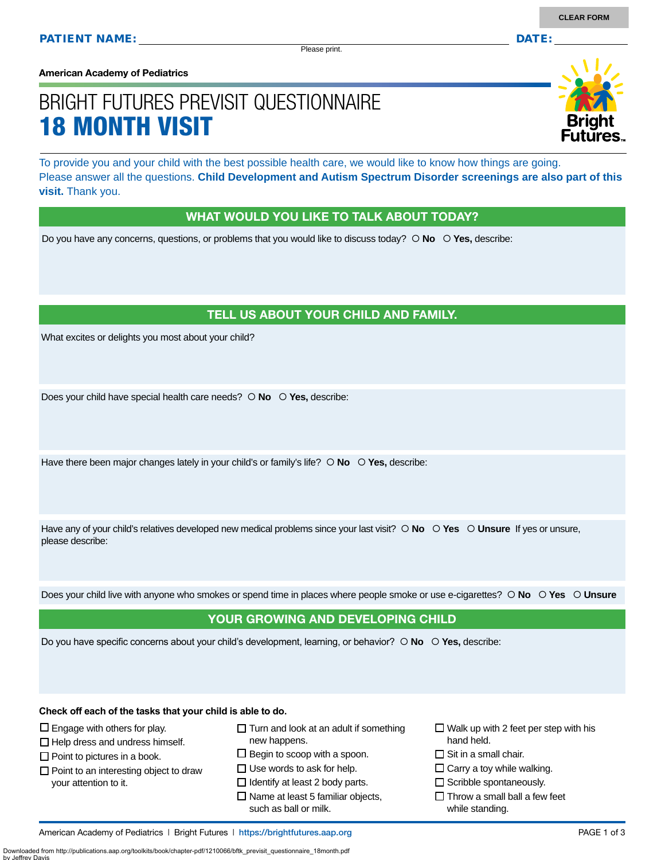Please print.

**American Academy of Pediatrics**

# BRIGHT FUTURES PREVISIT QUESTIONNAIRE 18 MONTH VISIT

To provide you and your child with the best possible health care, we would like to know how things are going. Please answer all the questions. **Child Development and Autism Spectrum Disorder screenings are also part of this visit.** Thank you.

#### WHAT WOULD YOU LIKE TO TALK ABOUT TODAY?

Do you have any concerns, questions, or problems that you would like to discuss today?  $\circ$  **No**  $\circ$  **Yes**, describe:

#### TELL US ABOUT YOUR CHILD AND FAMILY.

What excites or delights you most about your child?

Does your child have special health care needs?  **No Yes,** describe:

Have there been major changes lately in your child's or family's life?  $\circ$  No  $\circ$  Yes, describe:

Have any of your child's relatives developed new medical problems since your last visit?  $\circ$  **No**  $\circ$  **Yes**  $\circ$  **Unsure** If yes or unsure, please describe:

Does your child live with anyone who smokes or spend time in places where people smoke or use e-cigarettes?  **No Yes Unsure**

#### YOUR GROWING AND DEVELOPING CHILD

Do you have specific concerns about your child's development, learning, or behavior?  **No Yes,** describe:

**Check off each of the tasks that your child is able to do.**

- $\square$  Engage with others for play.
- $\Box$  Help dress and undress himself.
- $\square$  Point to pictures in a book.

by Jeffrey Davis

- $\square$  Point to an interesting object to draw your attention to it.
- $\Box$  Turn and look at an adult if something new happens.
- $\square$  Begin to scoop with a spoon.
- $\square$  Use words to ask for help.
- $\Box$  Identify at least 2 body parts.  $\square$  Name at least 5 familiar objects, such as ball or milk.
- $\Box$  Walk up with 2 feet per step with his hand held.
- $\Box$  Sit in a small chair.
- $\square$  Carry a toy while walking.
- $\square$  Scribble spontaneously.
- $\Box$  Throw a small ball a few feet while standing.

Downloaded from http://publications.aap.org/toolkits/book/chapter-pdf/1210066/bftk\_previsit\_questionnaire\_18month.pdf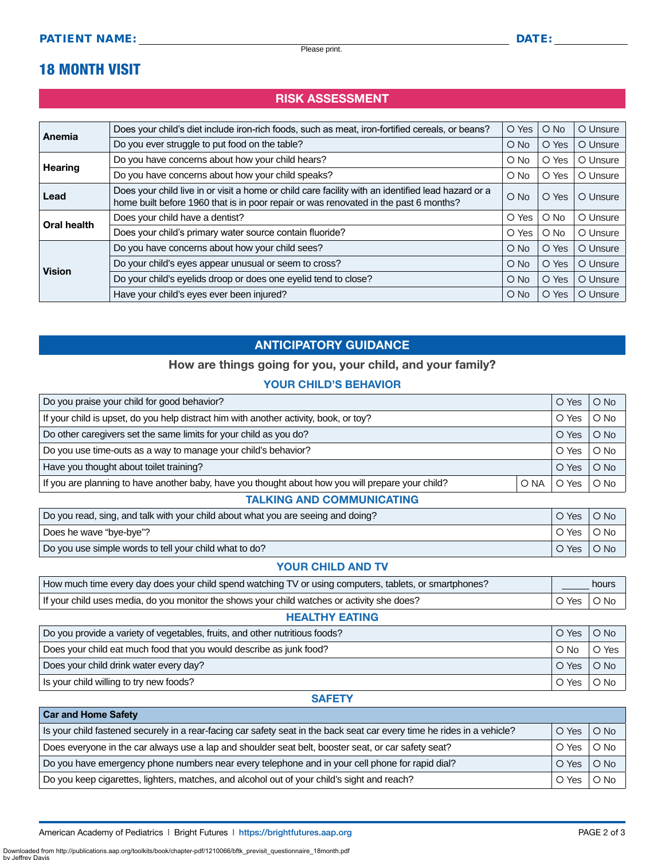### 18 MONTH VISIT

### RISK ASSESSMENT

| Anemia             | Does your child's diet include iron-rich foods, such as meat, iron-fortified cereals, or beans?                                                                                            | O Yes         | $\bigcirc$ No | O Unsure |
|--------------------|--------------------------------------------------------------------------------------------------------------------------------------------------------------------------------------------|---------------|---------------|----------|
|                    | Do you ever struggle to put food on the table?                                                                                                                                             | $\bigcirc$ No | O Yes         | O Unsure |
| <b>Hearing</b>     | Do you have concerns about how your child hears?                                                                                                                                           | $\circ$ No    | O Yes         | O Unsure |
|                    | Do you have concerns about how your child speaks?                                                                                                                                          | $O$ No        | O Yes         | O Unsure |
| Lead               | Does your child live in or visit a home or child care facility with an identified lead hazard or a<br>home built before 1960 that is in poor repair or was renovated in the past 6 months? | $O$ No        | O Yes         | O Unsure |
| <b>Oral health</b> | Does your child have a dentist?                                                                                                                                                            | O Yes         | $\bigcirc$ No | O Unsure |
|                    | Does your child's primary water source contain fluoride?                                                                                                                                   | O Yes         | $\bigcirc$ No | O Unsure |
| <b>Vision</b>      | Do you have concerns about how your child sees?                                                                                                                                            | $\bigcirc$ No | O Yes         | O Unsure |
|                    | Do your child's eyes appear unusual or seem to cross?                                                                                                                                      | $\bigcirc$ No | O Yes         | O Unsure |
|                    | Do your child's eyelids droop or does one eyelid tend to close?                                                                                                                            | $O$ No        | O Yes         | O Unsure |
|                    | Have your child's eyes ever been injured?                                                                                                                                                  | $\circ$ No    | O Yes         | O Unsure |

## ANTICIPATORY GUIDANCE

#### How are things going for you, your child, and your family?

#### YOUR CHILD'S BEHAVIOR

| Do you praise your child for good behavior?                                                               |  |        |  |
|-----------------------------------------------------------------------------------------------------------|--|--------|--|
| If your child is upset, do you help distract him with another activity, book, or toy?                     |  |        |  |
| Do other caregivers set the same limits for your child as you do?                                         |  |        |  |
| Do you use time-outs as a way to manage your child's behavior?                                            |  |        |  |
| Have you thought about toilet training?                                                                   |  |        |  |
| If you are planning to have another baby, have you thought about how you will prepare your child?<br>O NA |  | $O$ No |  |
| <b>TALKING AND COMMUNICATING</b>                                                                          |  |        |  |

| Do you read, sing, and talk with your child about what you are seeing and doing? |  | O No           |
|----------------------------------------------------------------------------------|--|----------------|
| Does he wave "bye-bye"?                                                          |  | ∣O Yes ∣O No ∣ |
| Do you use simple words to tell your child what to do?<br>  O Yes                |  | $O$ No         |

#### YOUR CHILD AND TV

| How much time every day does your child spend watching TV or using computers, tablets, or smartphones? |  | hours                  |  |
|--------------------------------------------------------------------------------------------------------|--|------------------------|--|
| If your child uses media, do you monitor the shows your child watches or activity she does?            |  | $\circ$ Yes $\circ$ No |  |

#### HEALTHY EATING

| Do you provide a variety of vegetables, fruits, and other nutritious foods? |        | $O$ No     |
|-----------------------------------------------------------------------------|--------|------------|
| Does your child eat much food that you would describe as junk food?         | $O$ No | O Yes      |
| Does your child drink water every day?                                      | O Yes  | $\circ$ No |
| Is your child willing to try new foods?                                     |        | $\circ$ No |

#### **SAFETY**

| <b>VAI AIN HUILD VAIGLY</b>                                                                                             |              |                        |  |
|-------------------------------------------------------------------------------------------------------------------------|--------------|------------------------|--|
| Is your child fastened securely in a rear-facing car safety seat in the back seat car every time he rides in a vehicle? | O Yes        | $\circ$ No             |  |
| Does everyone in the car always use a lap and shoulder seat belt, booster seat, or car safety seat?                     |              | O Yes   O No           |  |
| Do you have emergency phone numbers near every telephone and in your cell phone for rapid dial?                         | O Yes   O No |                        |  |
| Do you keep cigarettes, lighters, matches, and alcohol out of your child's sight and reach?                             |              | $\circ$ Yes $\circ$ No |  |

American Academy of Pediatrics | Bright Futures | https:/[/brightfutures.aap.org](https://brightfutures.aap.org/Pages/default.aspx) | Namerican Academy of Pediatrics | Bright Futures | https://brightfutures.aap.org

Downloaded from http://publications.aap.org/toolkits/book/chapter-pdf/1210066/bftk\_previsit\_questionnaire\_18month.pdf by Jeffrey I

**Car and Home Safety**